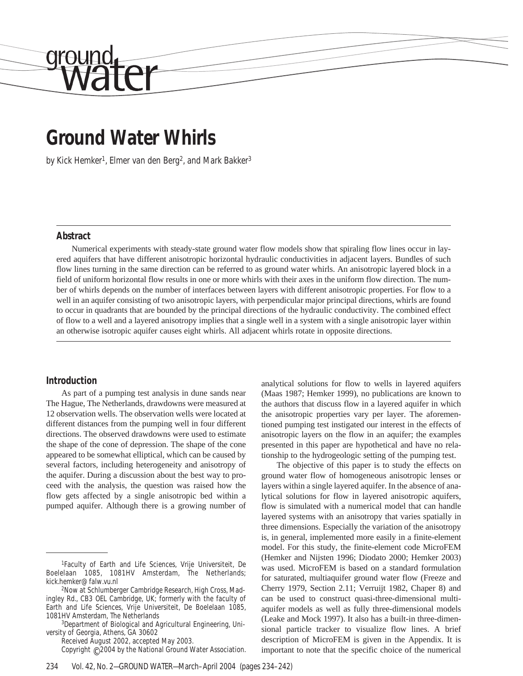# **Ground Water Whirls**

by Kick Hemker<sup>1</sup>, Elmer van den Berg<sup>2</sup>, and Mark Bakker<sup>3</sup>

#### **Abstract**

drou

Numerical experiments with steady-state ground water flow models show that spiraling flow lines occur in layered aquifers that have different anisotropic horizontal hydraulic conductivities in adjacent layers. Bundles of such flow lines turning in the same direction can be referred to as ground water whirls. An anisotropic layered block in a field of uniform horizontal flow results in one or more whirls with their axes in the uniform flow direction. The number of whirls depends on the number of interfaces between layers with different anisotropic properties. For flow to a well in an aquifer consisting of two anisotropic layers, with perpendicular major principal directions, whirls are found to occur in quadrants that are bounded by the principal directions of the hydraulic conductivity. The combined effect of flow to a well and a layered anisotropy implies that a single well in a system with a single anisotropic layer within an otherwise isotropic aquifer causes eight whirls. All adjacent whirls rotate in opposite directions.

#### **Introduction**

As part of a pumping test analysis in dune sands near The Hague, The Netherlands, drawdowns were measured at 12 observation wells. The observation wells were located at different distances from the pumping well in four different directions. The observed drawdowns were used to estimate the shape of the cone of depression. The shape of the cone appeared to be somewhat elliptical, which can be caused by several factors, including heterogeneity and anisotropy of the aquifer. During a discussion about the best way to proceed with the analysis, the question was raised how the flow gets affected by a single anisotropic bed within a pumped aquifer. Although there is a growing number of

Received August 2002, accepted May 2003.

Copyright © 2004 by the National Ground Water Association.

analytical solutions for flow to wells in layered aquifers (Maas 1987; Hemker 1999), no publications are known to the authors that discuss flow in a layered aquifer in which the anisotropic properties vary per layer. The aforementioned pumping test instigated our interest in the effects of anisotropic layers on the flow in an aquifer; the examples presented in this paper are hypothetical and have no relationship to the hydrogeologic setting of the pumping test.

The objective of this paper is to study the effects on ground water flow of homogeneous anisotropic lenses or layers within a single layered aquifer. In the absence of analytical solutions for flow in layered anisotropic aquifers, flow is simulated with a numerical model that can handle layered systems with an anisotropy that varies spatially in three dimensions. Especially the variation of the anisotropy is, in general, implemented more easily in a finite-element model. For this study, the finite-element code MicroFEM (Hemker and Nijsten 1996; Diodato 2000; Hemker 2003) was used. MicroFEM is based on a standard formulation for saturated, multiaquifer ground water flow (Freeze and Cherry 1979, Section 2.11; Verruijt 1982, Chaper 8) and can be used to construct quasi-three-dimensional multiaquifer models as well as fully three-dimensional models (Leake and Mock 1997). It also has a built-in three-dimensional particle tracker to visualize flow lines. A brief description of MicroFEM is given in the Appendix. It is important to note that the specific choice of the numerical

<sup>1</sup>Faculty of Earth and Life Sciences, Vrije Universiteit, De Boelelaan 1085, 1081HV Amsterdam, The Netherlands; kick.hemker@falw.vu.nl

<sup>2</sup>Now at Schlumberger Cambridge Research, High Cross, Madingley Rd., CB3 OEL Cambridge, UK; formerly with the faculty of Earth and Life Sciences, Vrije Universiteit, De Boelelaan 1085, 1081HV Amsterdam, The Netherlands

<sup>3</sup>Department of Biological and Agricultural Engineering, University of Georgia, Athens, GA 30602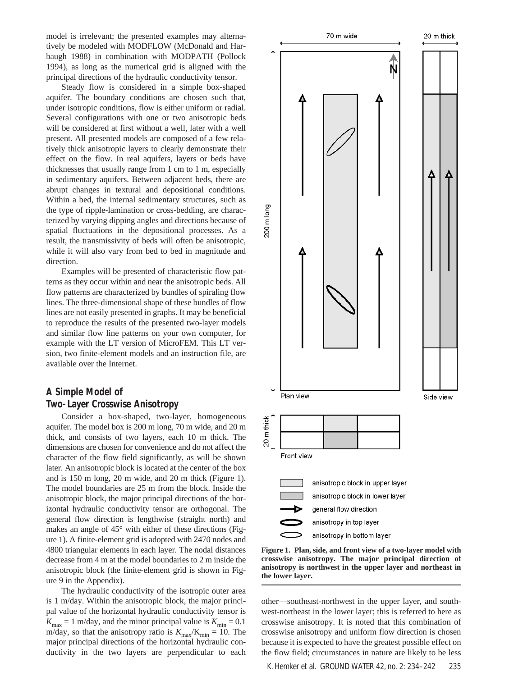model is irrelevant; the presented examples may alternatively be modeled with MODFLOW (McDonald and Harbaugh 1988) in combination with MODPATH (Pollock 1994), as long as the numerical grid is aligned with the principal directions of the hydraulic conductivity tensor.

Steady flow is considered in a simple box-shaped aquifer. The boundary conditions are chosen such that, under isotropic conditions, flow is either uniform or radial. Several configurations with one or two anisotropic beds will be considered at first without a well, later with a well present. All presented models are composed of a few relatively thick anisotropic layers to clearly demonstrate their effect on the flow. In real aquifers, layers or beds have thicknesses that usually range from 1 cm to 1 m, especially in sedimentary aquifers. Between adjacent beds, there are abrupt changes in textural and depositional conditions. Within a bed, the internal sedimentary structures, such as the type of ripple-lamination or cross-bedding, are characterized by varying dipping angles and directions because of spatial fluctuations in the depositional processes. As a result, the transmissivity of beds will often be anisotropic, while it will also vary from bed to bed in magnitude and direction.

Examples will be presented of characteristic flow patterns as they occur within and near the anisotropic beds. All flow patterns are characterized by bundles of spiraling flow lines. The three-dimensional shape of these bundles of flow lines are not easily presented in graphs. It may be beneficial to reproduce the results of the presented two-layer models and similar flow line patterns on your own computer, for example with the LT version of MicroFEM. This LT version, two finite-element models and an instruction file, are available over the Internet.

## **A Simple Model of Two-Layer Crosswise Anisotropy**

Consider a box-shaped, two-layer, homogeneous aquifer. The model box is 200 m long, 70 m wide, and 20 m thick, and consists of two layers, each 10 m thick. The dimensions are chosen for convenience and do not affect the character of the flow field significantly, as will be shown later. An anisotropic block is located at the center of the box and is 150 m long, 20 m wide, and 20 m thick (Figure 1). The model boundaries are 25 m from the block. Inside the anisotropic block, the major principal directions of the horizontal hydraulic conductivity tensor are orthogonal. The general flow direction is lengthwise (straight north) and makes an angle of 45° with either of these directions (Figure 1). A finite-element grid is adopted with 2470 nodes and 4800 triangular elements in each layer. The nodal distances decrease from 4 m at the model boundaries to 2 m inside the anisotropic block (the finite-element grid is shown in Figure 9 in the Appendix).

The hydraulic conductivity of the isotropic outer area is 1 m/day. Within the anisotropic block, the major principal value of the horizontal hydraulic conductivity tensor is  $K_{\text{max}} = 1$  m/day, and the minor principal value is  $K_{\text{min}} = 0.1$ m/day, so that the anisotropy ratio is  $K_{\text{max}}/K_{\text{min}} = 10$ . The major principal directions of the horizontal hydraulic conductivity in the two layers are perpendicular to each



anisotropy in bottom layer

**Figure 1. Plan, side, and front view of a two-layer model with crosswise anisotropy. The major principal direction of anisotropy is northwest in the upper layer and northeast in the lower layer.**

other—southeast-northwest in the upper layer, and southwest-northeast in the lower layer; this is referred to here as crosswise anisotropy. It is noted that this combination of crosswise anisotropy and uniform flow direction is chosen because it is expected to have the greatest possible effect on the flow field; circumstances in nature are likely to be less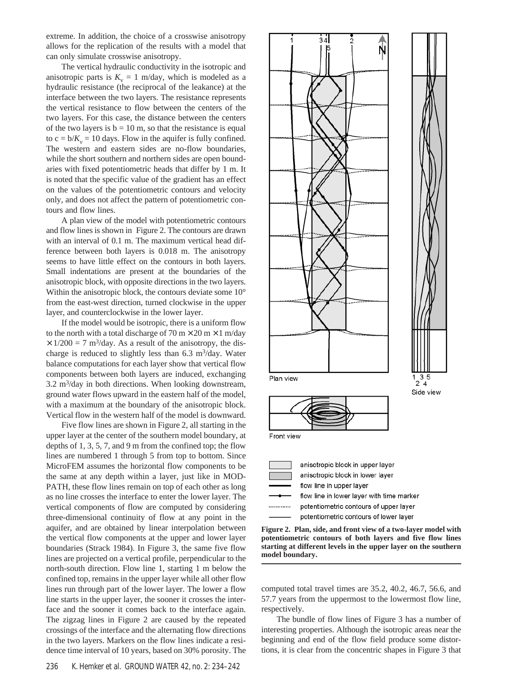extreme. In addition, the choice of a crosswise anisotropy allows for the replication of the results with a model that can only simulate crosswise anisotropy.

The vertical hydraulic conductivity in the isotropic and anisotropic parts is  $K_v = 1$  m/day, which is modeled as a hydraulic resistance (the reciprocal of the leakance) at the interface between the two layers. The resistance represents the vertical resistance to flow between the centers of the two layers. For this case, the distance between the centers of the two layers is  $b = 10$  m, so that the resistance is equal to  $c = b/K_v = 10$  days. Flow in the aquifer is fully confined. The western and eastern sides are no-flow boundaries, while the short southern and northern sides are open boundaries with fixed potentiometric heads that differ by 1 m. It is noted that the specific value of the gradient has an effect on the values of the potentiometric contours and velocity only, and does not affect the pattern of potentiometric contours and flow lines.

A plan view of the model with potentiometric contours and flow lines is shown in Figure 2. The contours are drawn with an interval of 0.1 m. The maximum vertical head difference between both layers is 0.018 m. The anisotropy seems to have little effect on the contours in both layers. Small indentations are present at the boundaries of the anisotropic block, with opposite directions in the two layers. Within the anisotropic block, the contours deviate some 10° from the east-west direction, turned clockwise in the upper layer, and counterclockwise in the lower layer.

If the model would be isotropic, there is a uniform flow to the north with a total discharge of  $70 \text{ m} \times 20 \text{ m} \times 1 \text{ m/day}$  $\times$  1/200 = 7 m<sup>3</sup>/day. As a result of the anisotropy, the discharge is reduced to slightly less than  $6.3 \text{ m}^3/\text{day}$ . Water balance computations for each layer show that vertical flow components between both layers are induced, exchanging  $3.2 \text{ m}^3/\text{day}$  in both directions. When looking downstream, ground water flows upward in the eastern half of the model, with a maximum at the boundary of the anisotropic block. Vertical flow in the western half of the model is downward.

Five flow lines are shown in Figure 2, all starting in the upper layer at the center of the southern model boundary, at depths of 1, 3, 5, 7, and 9 m from the confined top; the flow lines are numbered 1 through 5 from top to bottom. Since MicroFEM assumes the horizontal flow components to be the same at any depth within a layer, just like in MOD-PATH, these flow lines remain on top of each other as long as no line crosses the interface to enter the lower layer. The vertical components of flow are computed by considering three-dimensional continuity of flow at any point in the aquifer, and are obtained by linear interpolation between the vertical flow components at the upper and lower layer boundaries (Strack 1984). In Figure 3, the same five flow lines are projected on a vertical profile, perpendicular to the north-south direction. Flow line 1, starting 1 m below the confined top, remains in the upper layer while all other flow lines run through part of the lower layer. The lower a flow line starts in the upper layer, the sooner it crosses the interface and the sooner it comes back to the interface again. The zigzag lines in Figure 2 are caused by the repeated crossings of the interface and the alternating flow directions in the two layers. Markers on the flow lines indicate a residence time interval of 10 years, based on 30% porosity. The



**Figure 2. Plan, side, and front view of a two-layer model with potentiometric contours of both layers and five flow lines starting at different levels in the upper layer on the southern model boundary.**

computed total travel times are 35.2, 40.2, 46.7, 56.6, and 57.7 years from the uppermost to the lowermost flow line, respectively.

The bundle of flow lines of Figure 3 has a number of interesting properties. Although the isotropic areas near the beginning and end of the flow field produce some distortions, it is clear from the concentric shapes in Figure 3 that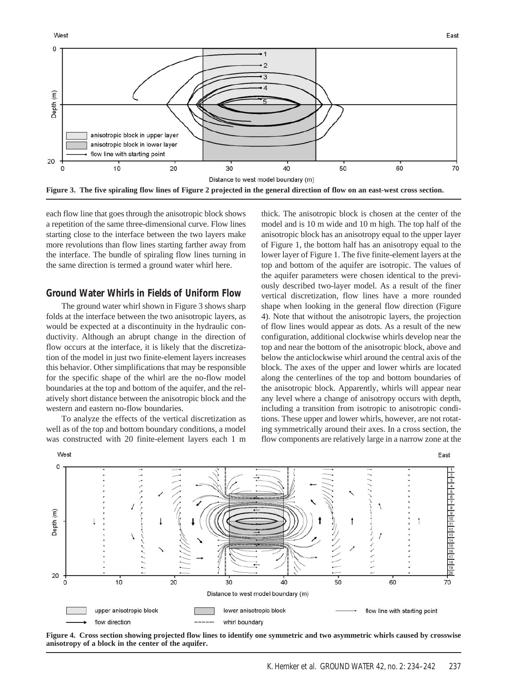West



each flow line that goes through the anisotropic block shows a repetition of the same three-dimensional curve. Flow lines starting close to the interface between the two layers make more revolutions than flow lines starting farther away from the interface. The bundle of spiraling flow lines turning in the same direction is termed a ground water whirl here.

#### **Ground Water Whirls in Fields of Uniform Flow**

The ground water whirl shown in Figure 3 shows sharp folds at the interface between the two anisotropic layers, as would be expected at a discontinuity in the hydraulic conductivity. Although an abrupt change in the direction of flow occurs at the interface, it is likely that the discretization of the model in just two finite-element layers increases this behavior. Other simplifications that may be responsible for the specific shape of the whirl are the no-flow model boundaries at the top and bottom of the aquifer, and the relatively short distance between the anisotropic block and the western and eastern no-flow boundaries.

To analyze the effects of the vertical discretization as well as of the top and bottom boundary conditions, a model was constructed with 20 finite-element layers each 1 m thick. The anisotropic block is chosen at the center of the model and is 10 m wide and 10 m high. The top half of the anisotropic block has an anisotropy equal to the upper layer of Figure 1, the bottom half has an anisotropy equal to the lower layer of Figure 1. The five finite-element layers at the top and bottom of the aquifer are isotropic. The values of the aquifer parameters were chosen identical to the previously described two-layer model. As a result of the finer vertical discretization, flow lines have a more rounded shape when looking in the general flow direction (Figure 4). Note that without the anisotropic layers, the projection of flow lines would appear as dots. As a result of the new configuration, additional clockwise whirls develop near the top and near the bottom of the anisotropic block, above and below the anticlockwise whirl around the central axis of the block. The axes of the upper and lower whirls are located along the centerlines of the top and bottom boundaries of the anisotropic block. Apparently, whirls will appear near any level where a change of anisotropy occurs with depth, including a transition from isotropic to anisotropic conditions. These upper and lower whirls, however, are not rotating symmetrically around their axes. In a cross section, the flow components are relatively large in a narrow zone at the



**Figure 4. Cross section showing projected flow lines to identify one symmetric and two asymmetric whirls caused by crosswise anisotropy of a block in the center of the aquifer.**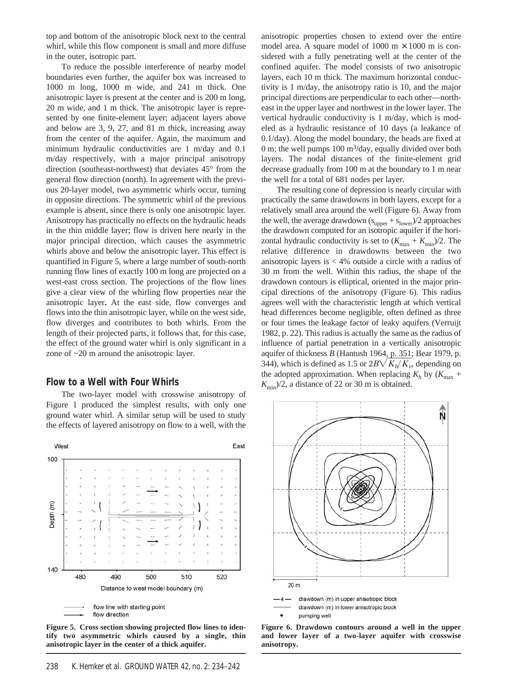top and bottom of the anisotropic block next to the central whirl, while this flow component is small and more diffuse in the outer, isotropic part.

To reduce the possible interference of nearby model boundaries even further, the aquifer box was increased to 1000 m long, 1000 m wide, and 241 m thick. One anisotropic layer is present at the center and is 200 m long, 20 m wide, and 1 m thick. The anisotropic layer is represented by one finite-element layer; adjacent layers above and below are 3, 9, 27, and 81 m thick, increasing away from the center of the aquifer. Again, the maximum and minimum hydraulic conductivities are 1 m/day and 0.1 m/day respectively, with a major principal anisotropy direction (southeast-northwest) that deviates 45° from the general flow direction (north). In agreement with the previous 20-layer model, two asymmetric whirls occur, turning in opposite directions. The symmetric whirl of the previous example is absent, since there is only one anisotropic layer. Anisotropy has practically no effects on the hydraulic heads in the thin middle layer; flow is driven here nearly in the major principal direction, which causes the asymmetric whirls above and below the anisotropic layer. This effect is quantified in Figure 5, where a large number of south-north running flow lines of exactly 100 m long are projected on a west-east cross section. The projections of the flow lines give a clear view of the whirling flow properties near the anisotropic layer**.** At the east side, flow converges and flows into the thin anisotropic layer, while on the west side, flow diverges and contributes to both whirls. From the length of their projected parts, it follows that, for this case, the effect of the ground water whirl is only significant in a zone of ~20 m around the anisotropic layer.

#### **Flow to a Well with Four Whirls**

The two-layer model with crosswise anisotropy of Figure 1 produced the simplest results, with only one ground water whirl. A similar setup will be used to study the effects of layered anisotropy on flow to a well, with the



**Figure 5. Cross section showing projected flow lines to identify two asymmetric whirls caused by a single, thin anisotropic layer in the center of a thick aquifer.**

anisotropic properties chosen to extend over the entire model area. A square model of  $1000 \text{ m} \times 1000 \text{ m}$  is considered with a fully penetrating well at the center of the confined aquifer. The model consists of two anisotropic layers, each 10 m thick. The maximum horizontal conductivity is 1 m/day, the anisotropy ratio is 10, and the major principal directions are perpendicular to each other—northeast in the upper layer and northwest in the lower layer. The vertical hydraulic conductivity is 1 m/day, which is modeled as a hydraulic resistance of 10 days (a leakance of 0.1/day). Along the model boundary, the heads are fixed at 0 m; the well pumps  $100 \text{ m}^3/\text{day}$ , equally divided over both layers. The nodal distances of the finite-element grid decrease gradually from 100 m at the boundary to 1 m near the well for a total of 681 nodes per layer.

The resulting cone of depression is nearly circular with practically the same drawdowns in both layers, except for a relatively small area around the well (Figure 6). Away from the well, the average drawdown ( $s_{\text{upper}} + s_{\text{lower}}$ )/2 approaches the drawdown computed for an isotropic aquifer if the horizontal hydraulic conductivity is set to  $(K_{\text{max}} + K_{\text{min}})/2$ . The relative difference in drawdowns between the two anisotropic layers is  $<$  4% outside a circle with a radius of 30 m from the well. Within this radius, the shape of the drawdown contours is elliptical, oriented in the major principal directions of the anisotropy (Figure 6). This radius agrees well with the characteristic length at which vertical head differences become negligible, often defined as three or four times the leakage factor of leaky aquifers (Verruijt 1982, p. 22). This radius is actually the same as the radius of influence of partial penetration in a vertically anisotropic aquifer of thickness *B* (Hantush 1964, p. 351; Bear 1979, p. 344), which is defined as 1.5 or  $2B\sqrt{K_h/K_v}$ , depending on the adopted approximation. When replacing  $K_h$  by  $(K_{\text{max}} +$  $K_{\text{min}}/2$ , a distance of 22 or 30 m is obtained.



pumping well

**Figure 6. Drawdown contours around a well in the upper and lower layer of a two-layer aquifer with crosswise anisotropy.**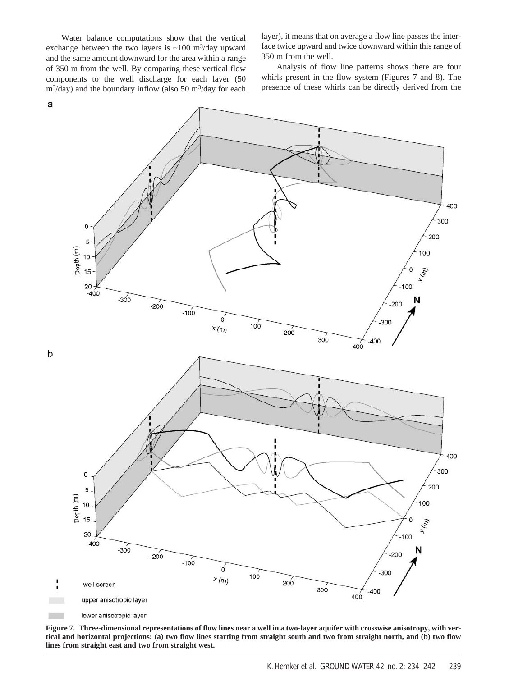Water balance computations show that the vertical exchange between the two layers is  $\sim 100$  m<sup>3</sup>/day upward and the same amount downward for the area within a range of 350 m from the well. By comparing these vertical flow components to the well discharge for each layer (50  $m^3$ /day) and the boundary inflow (also 50 m<sup>3</sup>/day for each

layer), it means that on average a flow line passes the interface twice upward and twice downward within this range of 350 m from the well.

Analysis of flow line patterns shows there are four whirls present in the flow system (Figures 7 and 8). The presence of these whirls can be directly derived from the



**Figure 7. Three-dimensional representations of flow lines near a well in a two-layer aquifer with crosswise anisotropy, with vertical and horizontal projections: (a) two flow lines starting from straight south and two from straight north, and (b) two flow lines from straight east and two from straight west.**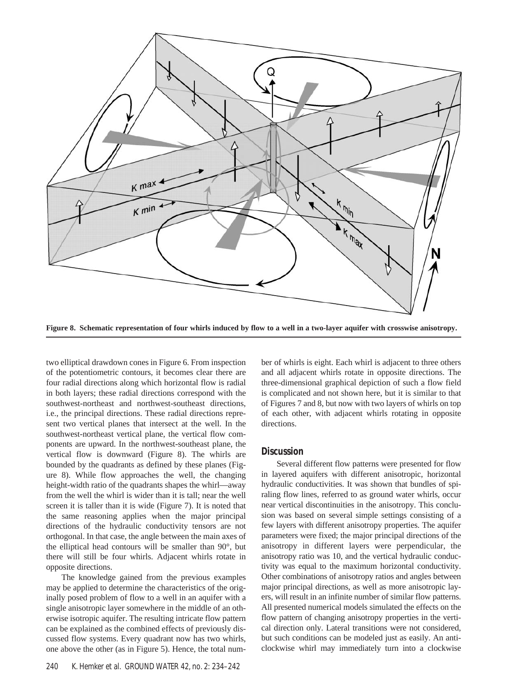

**Figure 8. Schematic representation of four whirls induced by flow to a well in a two-layer aquifer with crosswise anisotropy.**

two elliptical drawdown cones in Figure 6. From inspection of the potentiometric contours, it becomes clear there are four radial directions along which horizontal flow is radial in both layers; these radial directions correspond with the southwest-northeast and northwest-southeast directions, i.e., the principal directions. These radial directions represent two vertical planes that intersect at the well. In the southwest-northeast vertical plane, the vertical flow components are upward. In the northwest-southeast plane, the vertical flow is downward (Figure 8). The whirls are bounded by the quadrants as defined by these planes (Figure 8). While flow approaches the well, the changing height-width ratio of the quadrants shapes the whirl—away from the well the whirl is wider than it is tall; near the well screen it is taller than it is wide (Figure 7). It is noted that the same reasoning applies when the major principal directions of the hydraulic conductivity tensors are not orthogonal. In that case, the angle between the main axes of the elliptical head contours will be smaller than 90°, but there will still be four whirls. Adjacent whirls rotate in opposite directions.

The knowledge gained from the previous examples may be applied to determine the characteristics of the originally posed problem of flow to a well in an aquifer with a single anisotropic layer somewhere in the middle of an otherwise isotropic aquifer. The resulting intricate flow pattern can be explained as the combined effects of previously discussed flow systems. Every quadrant now has two whirls, one above the other (as in Figure 5). Hence, the total num-

240 K. Hemker et al. GROUND WATER 42, no. 2: 234–242

ber of whirls is eight. Each whirl is adjacent to three others and all adjacent whirls rotate in opposite directions. The three-dimensional graphical depiction of such a flow field is complicated and not shown here, but it is similar to that of Figures 7 and 8, but now with two layers of whirls on top of each other, with adjacent whirls rotating in opposite directions.

#### **Discussion**

Several different flow patterns were presented for flow in layered aquifers with different anisotropic, horizontal hydraulic conductivities. It was shown that bundles of spiraling flow lines, referred to as ground water whirls, occur near vertical discontinuities in the anisotropy. This conclusion was based on several simple settings consisting of a few layers with different anisotropy properties. The aquifer parameters were fixed; the major principal directions of the anisotropy in different layers were perpendicular, the anisotropy ratio was 10, and the vertical hydraulic conductivity was equal to the maximum horizontal conductivity. Other combinations of anisotropy ratios and angles between major principal directions, as well as more anisotropic layers, will result in an infinite number of similar flow patterns. All presented numerical models simulated the effects on the flow pattern of changing anisotropy properties in the vertical direction only. Lateral transitions were not considered, but such conditions can be modeled just as easily. An anticlockwise whirl may immediately turn into a clockwise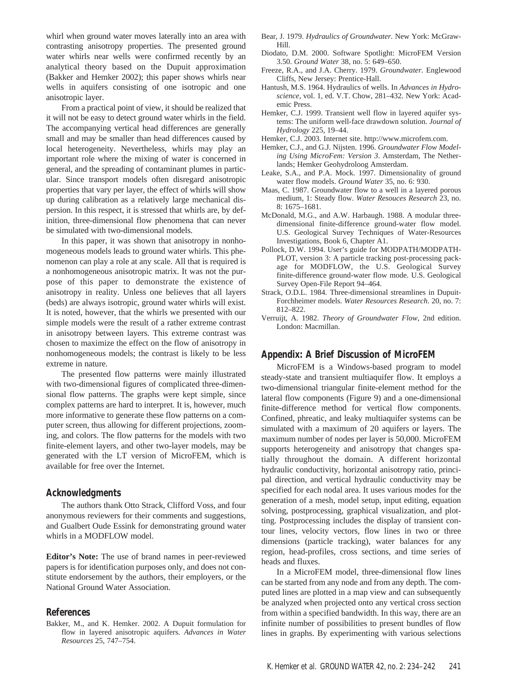whirl when ground water moves laterally into an area with contrasting anisotropy properties. The presented ground water whirls near wells were confirmed recently by an analytical theory based on the Dupuit approximation (Bakker and Hemker 2002); this paper shows whirls near wells in aquifers consisting of one isotropic and one anisotropic layer.

From a practical point of view, it should be realized that it will not be easy to detect ground water whirls in the field. The accompanying vertical head differences are generally small and may be smaller than head differences caused by local heterogeneity. Nevertheless, whirls may play an important role where the mixing of water is concerned in general, and the spreading of contaminant plumes in particular. Since transport models often disregard anisotropic properties that vary per layer, the effect of whirls will show up during calibration as a relatively large mechanical dispersion. In this respect, it is stressed that whirls are, by definition, three-dimensional flow phenomena that can never be simulated with two-dimensional models.

In this paper, it was shown that anisotropy in nonhomogeneous models leads to ground water whirls. This phenomenon can play a role at any scale. All that is required is a nonhomogeneous anisotropic matrix. It was not the purpose of this paper to demonstrate the existence of anisotropy in reality. Unless one believes that all layers (beds) are always isotropic, ground water whirls will exist. It is noted, however, that the whirls we presented with our simple models were the result of a rather extreme contrast in anisotropy between layers. This extreme contrast was chosen to maximize the effect on the flow of anisotropy in nonhomogeneous models; the contrast is likely to be less extreme in nature.

The presented flow patterns were mainly illustrated with two-dimensional figures of complicated three-dimensional flow patterns. The graphs were kept simple, since complex patterns are hard to interpret. It is, however, much more informative to generate these flow patterns on a computer screen, thus allowing for different projections, zooming, and colors. The flow patterns for the models with two finite-element layers, and other two-layer models, may be generated with the LT version of MicroFEM, which is available for free over the Internet.

#### **Acknowledgments**

The authors thank Otto Strack, Clifford Voss, and four anonymous reviewers for their comments and suggestions, and Gualbert Oude Essink for demonstrating ground water whirls in a MODFLOW model.

**Editor's Note:** The use of brand names in peer-reviewed papers is for identification purposes only, and does not constitute endorsement by the authors, their employers, or the National Ground Water Association.

#### **References**

Bakker, M., and K. Hemker. 2002. A Dupuit formulation for flow in layered anisotropic aquifers*. Advances in Water Resources* 25, 747–754.

- Bear, J. 1979. *Hydraulics of Groundwater.* New York: McGraw-Hill.
- Diodato, D.M. 2000. Software Spotlight: MicroFEM Version 3.50. *Ground Water* 38, no. 5: 649–650.
- Freeze, R.A., and J.A. Cherry. 1979. *Groundwater.* Englewood Cliffs, New Jersey: Prentice-Hall.
- Hantush, M.S. 1964. Hydraulics of wells. In *Advances in Hydroscience*, vol. 1, ed. V.T. Chow, 281–432. New York: Academic Press.
- Hemker, C.J. 1999. Transient well flow in layered aquifer systems: The uniform well-face drawdown solution. *Journal of Hydrology* 225, 19–44.
- Hemker, C.J. 2003. Internet site. http://www.microfem.com.
- Hemker, C.J., and G.J. Nijsten. 1996. *Groundwater Flow Modeling Using MicroFem: Version 3*. Amsterdam, The Netherlands; Hemker Geohydroloog Amsterdam.
- Leake, S.A., and P.A. Mock. 1997. Dimensionality of ground water flow models. *Ground Water* 35, no. 6: 930.
- Maas, C. 1987. Groundwater flow to a well in a layered porous medium, 1: Steady flow. *Water Resouces Research* 23, no. 8: 1675–1681.
- McDonald, M.G., and A.W. Harbaugh. 1988. A modular threedimensional finite-difference ground-water flow model. U.S. Geological Survey Techniques of Water-Resources Investigations, Book 6, Chapter A1.
- Pollock, D.W. 1994. User's guide for MODPATH/MODPATH-PLOT, version 3: A particle tracking post-processing package for MODFLOW, the U.S. Geological Survey finite-difference ground-water flow mode. U.S. Geological Survey Open-File Report 94–464.
- Strack, O.D.L. 1984. Three-dimensional streamlines in Dupuit-Forchheimer models. *Water Resources Research*. 20, no. 7: 812–822.
- Verruijt, A. 1982. *Theory of Groundwater Flow*, 2nd edition. London: Macmillan.

### **Appendix: A Brief Discussion of MicroFEM**

MicroFEM is a Windows-based program to model steady-state and transient multiaquifer flow. It employs a two-dimensional triangular finite-element method for the lateral flow components (Figure 9) and a one-dimensional finite-difference method for vertical flow components. Confined, phreatic, and leaky multiaquifer systems can be simulated with a maximum of 20 aquifers or layers. The maximum number of nodes per layer is 50,000. MicroFEM supports heterogeneity and anisotropy that changes spatially throughout the domain. A different horizontal hydraulic conductivity, horizontal anisotropy ratio, principal direction, and vertical hydraulic conductivity may be specified for each nodal area. It uses various modes for the generation of a mesh, model setup, input editing, equation solving, postprocessing, graphical visualization, and plotting. Postprocessing includes the display of transient contour lines, velocity vectors, flow lines in two or three dimensions (particle tracking), water balances for any region, head-profiles, cross sections, and time series of heads and fluxes.

In a MicroFEM model, three-dimensional flow lines can be started from any node and from any depth. The computed lines are plotted in a map view and can subsequently be analyzed when projected onto any vertical cross section from within a specified bandwidth. In this way, there are an infinite number of possibilities to present bundles of flow lines in graphs. By experimenting with various selections